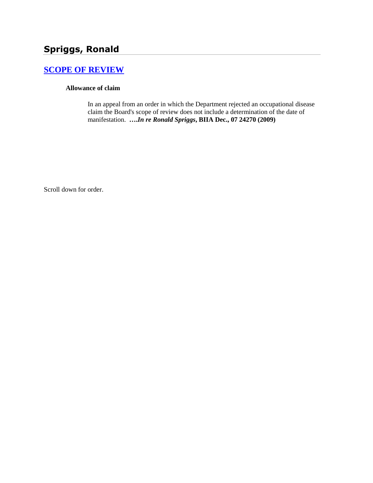# **Spriggs, Ronald**

## **[SCOPE OF REVIEW](http://www.biia.wa.gov/SDSubjectIndex.html#SCOPE_OF_REVIEW)**

#### **Allowance of claim**

In an appeal from an order in which the Department rejected an occupational disease claim the Board's scope of review does not include a determination of the date of manifestation. **….***In re Ronald Spriggs***, BIIA Dec., 07 24270 (2009)**

Scroll down for order.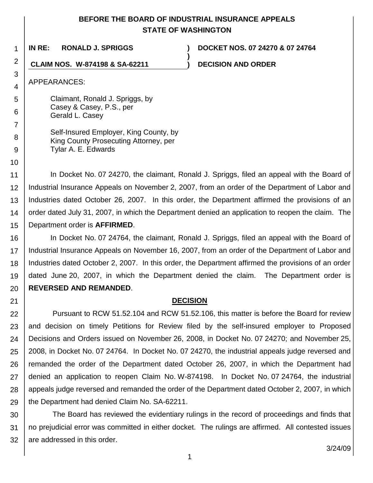## **BEFORE THE BOARD OF INDUSTRIAL INSURANCE APPEALS STATE OF WASHINGTON**

**)**

1

**IN RE: RONALD J. SPRIGGS ) DOCKET NOS. 07 24270 & 07 24764**

**CLAIM NOS. W-874198 & SA-62211 ) DECISION AND ORDER**

APPEARANCES:

2

3

4

5

6

7

8 9

10

21

Claimant, Ronald J. Spriggs, by Casey & Casey, P.S., per Gerald L. Casey

Self-Insured Employer, King County, by King County Prosecuting Attorney, per Tylar A. E. Edwards

11 12 13 14 15 In Docket No. 07 24270, the claimant, Ronald J. Spriggs, filed an appeal with the Board of Industrial Insurance Appeals on November 2, 2007, from an order of the Department of Labor and Industries dated October 26, 2007. In this order, the Department affirmed the provisions of an order dated July 31, 2007, in which the Department denied an application to reopen the claim. The Department order is **AFFIRMED**.

16 17 18 19 20 In Docket No. 07 24764, the claimant, Ronald J. Spriggs, filed an appeal with the Board of Industrial Insurance Appeals on November 16, 2007, from an order of the Department of Labor and Industries dated October 2, 2007. In this order, the Department affirmed the provisions of an order dated June 20, 2007, in which the Department denied the claim. The Department order is **REVERSED AND REMANDED**.

## **DECISION**

22 23 24 25 26 27 28 29 Pursuant to RCW 51.52.104 and RCW 51.52.106, this matter is before the Board for review and decision on timely Petitions for Review filed by the self-insured employer to Proposed Decisions and Orders issued on November 26, 2008, in Docket No. 07 24270; and November 25, 2008, in Docket No. 07 24764. In Docket No. 07 24270, the industrial appeals judge reversed and remanded the order of the Department dated October 26, 2007, in which the Department had denied an application to reopen Claim No. W-874198. In Docket No. 07 24764, the industrial appeals judge reversed and remanded the order of the Department dated October 2, 2007, in which the Department had denied Claim No. SA-62211.

30 31 32 The Board has reviewed the evidentiary rulings in the record of proceedings and finds that no prejudicial error was committed in either docket. The rulings are affirmed. All contested issues are addressed in this order.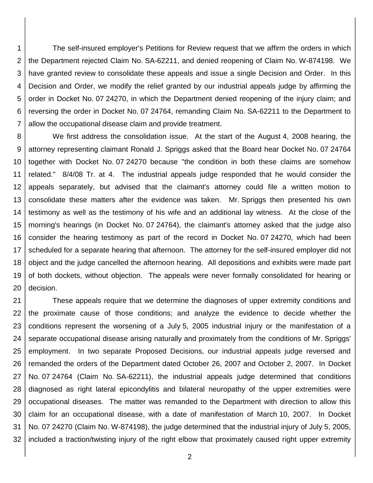1 2 3 4 5 6 7 The self-insured employer's Petitions for Review request that we affirm the orders in which the Department rejected Claim No. SA-62211, and denied reopening of Claim No. W-874198. We have granted review to consolidate these appeals and issue a single Decision and Order. In this Decision and Order, we modify the relief granted by our industrial appeals judge by affirming the order in Docket No. 07 24270, in which the Department denied reopening of the injury claim; and reversing the order in Docket No. 07 24764, remanding Claim No. SA-62211 to the Department to allow the occupational disease claim and provide treatment.

8 9 10 11 12 13 14 15 16 17 18 19 20 We first address the consolidation issue. At the start of the August 4, 2008 hearing, the attorney representing claimant Ronald J. Spriggs asked that the Board hear Docket No. 07 24764 together with Docket No. 07 24270 because "the condition in both these claims are somehow related." 8/4/08 Tr. at 4. The industrial appeals judge responded that he would consider the appeals separately, but advised that the claimant's attorney could file a written motion to consolidate these matters after the evidence was taken. Mr. Spriggs then presented his own testimony as well as the testimony of his wife and an additional lay witness. At the close of the morning's hearings (in Docket No. 07 24764), the claimant's attorney asked that the judge also consider the hearing testimony as part of the record in Docket No. 07 24270, which had been scheduled for a separate hearing that afternoon. The attorney for the self-insured employer did not object and the judge cancelled the afternoon hearing. All depositions and exhibits were made part of both dockets, without objection. The appeals were never formally consolidated for hearing or decision.

21 22 23 24 25 26 27 28 29 30 31 32 These appeals require that we determine the diagnoses of upper extremity conditions and the proximate cause of those conditions; and analyze the evidence to decide whether the conditions represent the worsening of a July 5, 2005 industrial injury or the manifestation of a separate occupational disease arising naturally and proximately from the conditions of Mr. Spriggs' employment. In two separate Proposed Decisions, our industrial appeals judge reversed and remanded the orders of the Department dated October 26, 2007 and October 2, 2007. In Docket No. 07 24764 (Claim No. SA-62211), the industrial appeals judge determined that conditions diagnosed as right lateral epicondylitis and bilateral neuropathy of the upper extremities were occupational diseases. The matter was remanded to the Department with direction to allow this claim for an occupational disease, with a date of manifestation of March 10, 2007. In Docket No. 07 24270 (Claim No. W-874198), the judge determined that the industrial injury of July 5, 2005, included a traction/twisting injury of the right elbow that proximately caused right upper extremity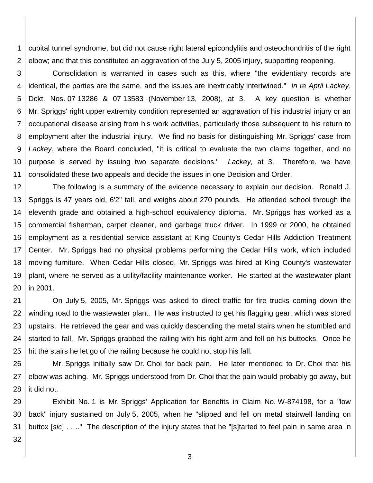1 2 cubital tunnel syndrome, but did not cause right lateral epicondylitis and osteochondritis of the right elbow; and that this constituted an aggravation of the July 5, 2005 injury, supporting reopening.

3 4 5 6 7 8 9 10 11 Consolidation is warranted in cases such as this, where "the evidentiary records are identical, the parties are the same, and the issues are inextricably intertwined." *In re April Lackey*, Dckt. Nos. 07 13286 & 07 13583 (November 13, 2008), at 3. A key question is whether Mr. Spriggs' right upper extremity condition represented an aggravation of his industrial injury or an occupational disease arising from his work activities, particularly those subsequent to his return to employment after the industrial injury. We find no basis for distinguishing Mr. Spriggs' case from *Lackey*, where the Board concluded, "it is critical to evaluate the two claims together, and no purpose is served by issuing two separate decisions." *Lackey,* at 3. Therefore, we have consolidated these two appeals and decide the issues in one Decision and Order.

12 13 14 15 16 17 18 19 20 The following is a summary of the evidence necessary to explain our decision. Ronald J. Spriggs is 47 years old, 6'2" tall, and weighs about 270 pounds. He attended school through the eleventh grade and obtained a high-school equivalency diploma. Mr. Spriggs has worked as a commercial fisherman, carpet cleaner, and garbage truck driver. In 1999 or 2000, he obtained employment as a residential service assistant at King County's Cedar Hills Addiction Treatment Center. Mr. Spriggs had no physical problems performing the Cedar Hills work, which included moving furniture. When Cedar Hills closed, Mr. Spriggs was hired at King County's wastewater plant, where he served as a utility/facility maintenance worker. He started at the wastewater plant in 2001.

21 22 23 24 25 On July 5, 2005, Mr. Spriggs was asked to direct traffic for fire trucks coming down the winding road to the wastewater plant. He was instructed to get his flagging gear, which was stored upstairs. He retrieved the gear and was quickly descending the metal stairs when he stumbled and started to fall. Mr. Spriggs grabbed the railing with his right arm and fell on his buttocks. Once he hit the stairs he let go of the railing because he could not stop his fall.

26 27 28 Mr. Spriggs initially saw Dr. Choi for back pain. He later mentioned to Dr. Choi that his elbow was aching. Mr. Spriggs understood from Dr. Choi that the pain would probably go away, but it did not.

29 30 31 Exhibit No. 1 is Mr. Spriggs' Application for Benefits in Claim No. W-874198, for a "low back" injury sustained on July 5, 2005, when he "slipped and fell on metal stairwell landing on buttox [*sic*] . . .." The description of the injury states that he "[s]tarted to feel pain in same area in

32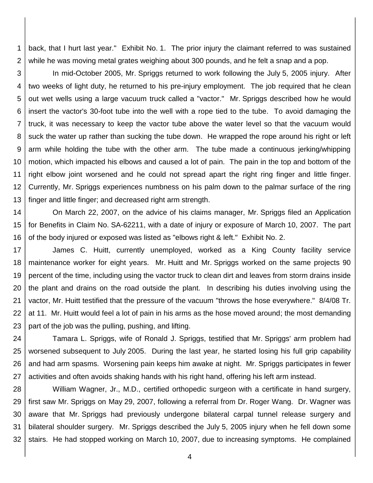1 2 back, that I hurt last year." Exhibit No. 1. The prior injury the claimant referred to was sustained while he was moving metal grates weighing about 300 pounds, and he felt a snap and a pop.

3 4 5 6 7 8 9 10 11 12 13 In mid-October 2005, Mr. Spriggs returned to work following the July 5, 2005 injury. After two weeks of light duty, he returned to his pre-injury employment. The job required that he clean out wet wells using a large vacuum truck called a "vactor." Mr. Spriggs described how he would insert the vactor's 30-foot tube into the well with a rope tied to the tube. To avoid damaging the truck, it was necessary to keep the vactor tube above the water level so that the vacuum would suck the water up rather than sucking the tube down. He wrapped the rope around his right or left arm while holding the tube with the other arm. The tube made a continuous jerking/whipping motion, which impacted his elbows and caused a lot of pain. The pain in the top and bottom of the right elbow joint worsened and he could not spread apart the right ring finger and little finger. Currently, Mr. Spriggs experiences numbness on his palm down to the palmar surface of the ring finger and little finger; and decreased right arm strength.

14 15 16 On March 22, 2007, on the advice of his claims manager, Mr. Spriggs filed an Application for Benefits in Claim No. SA-62211, with a date of injury or exposure of March 10, 2007. The part of the body injured or exposed was listed as "elbows right & left." Exhibit No. 2.

17 18 19 20 21 22 23 James C. Huitt, currently unemployed, worked as a King County facility service maintenance worker for eight years. Mr. Huitt and Mr. Spriggs worked on the same projects 90 percent of the time, including using the vactor truck to clean dirt and leaves from storm drains inside the plant and drains on the road outside the plant. In describing his duties involving using the vactor, Mr. Huitt testified that the pressure of the vacuum "throws the hose everywhere." 8/4/08 Tr. at 11. Mr. Huitt would feel a lot of pain in his arms as the hose moved around; the most demanding part of the job was the pulling, pushing, and lifting.

24 25 26 27 Tamara L. Spriggs, wife of Ronald J. Spriggs, testified that Mr. Spriggs' arm problem had worsened subsequent to July 2005. During the last year, he started losing his full grip capability and had arm spasms. Worsening pain keeps him awake at night. Mr. Spriggs participates in fewer activities and often avoids shaking hands with his right hand, offering his left arm instead.

28 29 30 31 32 William Wagner, Jr., M.D., certified orthopedic surgeon with a certificate in hand surgery, first saw Mr. Spriggs on May 29, 2007, following a referral from Dr. Roger Wang. Dr. Wagner was aware that Mr. Spriggs had previously undergone bilateral carpal tunnel release surgery and bilateral shoulder surgery. Mr. Spriggs described the July 5, 2005 injury when he fell down some stairs. He had stopped working on March 10, 2007, due to increasing symptoms. He complained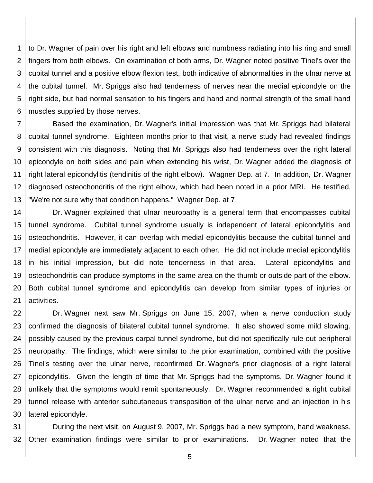1 2 3 4 5 6 to Dr. Wagner of pain over his right and left elbows and numbness radiating into his ring and small fingers from both elbows. On examination of both arms, Dr. Wagner noted positive Tinel's over the cubital tunnel and a positive elbow flexion test, both indicative of abnormalities in the ulnar nerve at the cubital tunnel. Mr. Spriggs also had tenderness of nerves near the medial epicondyle on the right side, but had normal sensation to his fingers and hand and normal strength of the small hand muscles supplied by those nerves.

7 8 9 10 11 12 13 Based the examination, Dr. Wagner's initial impression was that Mr. Spriggs had bilateral cubital tunnel syndrome. Eighteen months prior to that visit, a nerve study had revealed findings consistent with this diagnosis. Noting that Mr. Spriggs also had tenderness over the right lateral epicondyle on both sides and pain when extending his wrist, Dr. Wagner added the diagnosis of right lateral epicondylitis (tendinitis of the right elbow). Wagner Dep. at 7. In addition, Dr. Wagner diagnosed osteochondritis of the right elbow, which had been noted in a prior MRI. He testified, "We're not sure why that condition happens." Wagner Dep. at 7.

14 15 16 17 18 19 20 21 Dr. Wagner explained that ulnar neuropathy is a general term that encompasses cubital tunnel syndrome. Cubital tunnel syndrome usually is independent of lateral epicondylitis and osteochondritis. However, it can overlap with medial epicondylitis because the cubital tunnel and medial epicondyle are immediately adjacent to each other. He did not include medial epicondylitis in his initial impression, but did note tenderness in that area. Lateral epicondylitis and osteochondritis can produce symptoms in the same area on the thumb or outside part of the elbow. Both cubital tunnel syndrome and epicondylitis can develop from similar types of injuries or activities.

22 23 24 25 26 27 28 29 30 Dr. Wagner next saw Mr. Spriggs on June 15, 2007, when a nerve conduction study confirmed the diagnosis of bilateral cubital tunnel syndrome. It also showed some mild slowing, possibly caused by the previous carpal tunnel syndrome, but did not specifically rule out peripheral neuropathy. The findings, which were similar to the prior examination, combined with the positive Tinel's testing over the ulnar nerve, reconfirmed Dr. Wagner's prior diagnosis of a right lateral epicondylitis. Given the length of time that Mr. Spriggs had the symptoms, Dr. Wagner found it unlikely that the symptoms would remit spontaneously. Dr. Wagner recommended a right cubital tunnel release with anterior subcutaneous transposition of the ulnar nerve and an injection in his lateral epicondyle.

31 32 During the next visit, on August 9, 2007, Mr. Spriggs had a new symptom, hand weakness. Other examination findings were similar to prior examinations. Dr. Wagner noted that the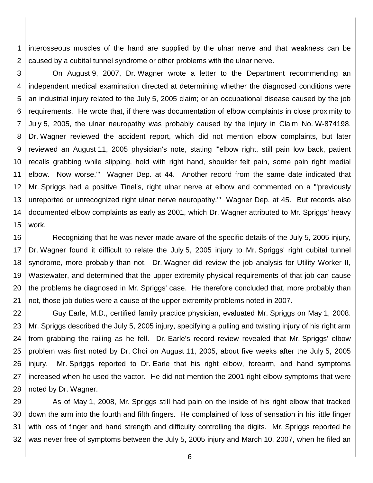1 2 interosseous muscles of the hand are supplied by the ulnar nerve and that weakness can be caused by a cubital tunnel syndrome or other problems with the ulnar nerve.

3 4 5 6 7 8 9 10 11 12 13 14 15 On August 9, 2007, Dr. Wagner wrote a letter to the Department recommending an independent medical examination directed at determining whether the diagnosed conditions were an industrial injury related to the July 5, 2005 claim; or an occupational disease caused by the job requirements. He wrote that, if there was documentation of elbow complaints in close proximity to July 5, 2005, the ulnar neuropathy was probably caused by the injury in Claim No. W-874198. Dr. Wagner reviewed the accident report, which did not mention elbow complaints, but later reviewed an August 11, 2005 physician's note, stating "'elbow right, still pain low back, patient recalls grabbing while slipping, hold with right hand, shoulder felt pain, some pain right medial elbow. Now worse.'" Wagner Dep. at 44. Another record from the same date indicated that Mr. Spriggs had a positive Tinel's, right ulnar nerve at elbow and commented on a "'previously unreported or unrecognized right ulnar nerve neuropathy.'" Wagner Dep. at 45. But records also documented elbow complaints as early as 2001, which Dr. Wagner attributed to Mr. Spriggs' heavy work.

16 17 18 19 20 21 Recognizing that he was never made aware of the specific details of the July 5, 2005 injury, Dr. Wagner found it difficult to relate the July 5, 2005 injury to Mr. Spriggs' right cubital tunnel syndrome, more probably than not. Dr. Wagner did review the job analysis for Utility Worker II, Wastewater, and determined that the upper extremity physical requirements of that job can cause the problems he diagnosed in Mr. Spriggs' case. He therefore concluded that, more probably than not, those job duties were a cause of the upper extremity problems noted in 2007.

22 23 24 25 26 27 28 Guy Earle, M.D., certified family practice physician, evaluated Mr. Spriggs on May 1, 2008. Mr. Spriggs described the July 5, 2005 injury, specifying a pulling and twisting injury of his right arm from grabbing the railing as he fell. Dr. Earle's record review revealed that Mr. Spriggs' elbow problem was first noted by Dr. Choi on August 11, 2005, about five weeks after the July 5, 2005 injury. Mr. Spriggs reported to Dr. Earle that his right elbow, forearm, and hand symptoms increased when he used the vactor. He did not mention the 2001 right elbow symptoms that were noted by Dr. Wagner.

29 30 31 32 As of May 1, 2008, Mr. Spriggs still had pain on the inside of his right elbow that tracked down the arm into the fourth and fifth fingers. He complained of loss of sensation in his little finger with loss of finger and hand strength and difficulty controlling the digits. Mr. Spriggs reported he was never free of symptoms between the July 5, 2005 injury and March 10, 2007, when he filed an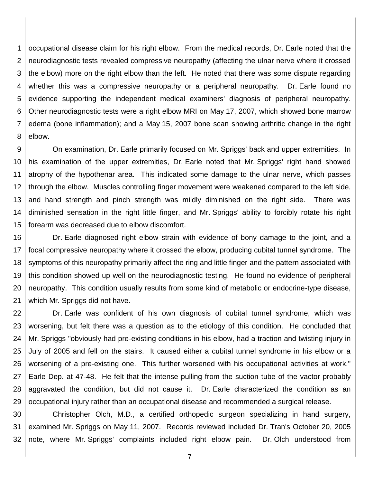1 2 3 4 5 6 7 8 occupational disease claim for his right elbow. From the medical records, Dr. Earle noted that the neurodiagnostic tests revealed compressive neuropathy (affecting the ulnar nerve where it crossed the elbow) more on the right elbow than the left. He noted that there was some dispute regarding whether this was a compressive neuropathy or a peripheral neuropathy. Dr. Earle found no evidence supporting the independent medical examiners' diagnosis of peripheral neuropathy. Other neurodiagnostic tests were a right elbow MRI on May 17, 2007, which showed bone marrow edema (bone inflammation); and a May 15, 2007 bone scan showing arthritic change in the right elbow.

9 10 11 12 13 14 15 On examination, Dr. Earle primarily focused on Mr. Spriggs' back and upper extremities. In his examination of the upper extremities, Dr. Earle noted that Mr. Spriggs' right hand showed atrophy of the hypothenar area. This indicated some damage to the ulnar nerve, which passes through the elbow. Muscles controlling finger movement were weakened compared to the left side, and hand strength and pinch strength was mildly diminished on the right side. There was diminished sensation in the right little finger, and Mr. Spriggs' ability to forcibly rotate his right forearm was decreased due to elbow discomfort.

16 17 18 19 20 21 Dr. Earle diagnosed right elbow strain with evidence of bony damage to the joint, and a focal compressive neuropathy where it crossed the elbow, producing cubital tunnel syndrome. The symptoms of this neuropathy primarily affect the ring and little finger and the pattern associated with this condition showed up well on the neurodiagnostic testing. He found no evidence of peripheral neuropathy. This condition usually results from some kind of metabolic or endocrine-type disease, which Mr. Spriggs did not have.

22 23 24 25 26 27 28 29 Dr. Earle was confident of his own diagnosis of cubital tunnel syndrome, which was worsening, but felt there was a question as to the etiology of this condition. He concluded that Mr. Spriggs "obviously had pre-existing conditions in his elbow, had a traction and twisting injury in July of 2005 and fell on the stairs. It caused either a cubital tunnel syndrome in his elbow or a worsening of a pre-existing one. This further worsened with his occupational activities at work." Earle Dep. at 47-48. He felt that the intense pulling from the suction tube of the vactor probably aggravated the condition, but did not cause it. Dr. Earle characterized the condition as an occupational injury rather than an occupational disease and recommended a surgical release.

30 31 32 Christopher Olch, M.D., a certified orthopedic surgeon specializing in hand surgery, examined Mr. Spriggs on May 11, 2007. Records reviewed included Dr. Tran's October 20, 2005 note, where Mr. Spriggs' complaints included right elbow pain. Dr. Olch understood from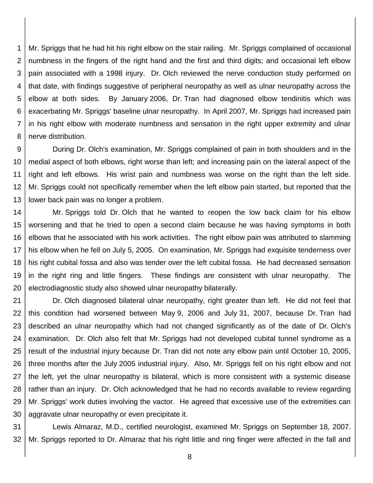1 2 3 4 5 6 7 8 Mr. Spriggs that he had hit his right elbow on the stair railing. Mr. Spriggs complained of occasional numbness in the fingers of the right hand and the first and third digits; and occasional left elbow pain associated with a 1998 injury. Dr. Olch reviewed the nerve conduction study performed on that date, with findings suggestive of peripheral neuropathy as well as ulnar neuropathy across the elbow at both sides. By January 2006, Dr. Tran had diagnosed elbow tendinitis which was exacerbating Mr. Spriggs' baseline ulnar neuropathy. In April 2007, Mr. Spriggs had increased pain in his right elbow with moderate numbness and sensation in the right upper extremity and ulnar nerve distribution.

9 10 11 12 13 During Dr. Olch's examination, Mr. Spriggs complained of pain in both shoulders and in the medial aspect of both elbows, right worse than left; and increasing pain on the lateral aspect of the right and left elbows. His wrist pain and numbness was worse on the right than the left side. Mr. Spriggs could not specifically remember when the left elbow pain started, but reported that the lower back pain was no longer a problem.

14 15 16 17 18 19 20 Mr. Spriggs told Dr. Olch that he wanted to reopen the low back claim for his elbow worsening and that he tried to open a second claim because he was having symptoms in both elbows that he associated with his work activities. The right elbow pain was attributed to slamming his elbow when he fell on July 5, 2005. On examination, Mr. Spriggs had exquisite tenderness over his right cubital fossa and also was tender over the left cubital fossa. He had decreased sensation in the right ring and little fingers. These findings are consistent with ulnar neuropathy. The electrodiagnostic study also showed ulnar neuropathy bilaterally.

21 22 23 24 25 26 27 28 29 30 Dr. Olch diagnosed bilateral ulnar neuropathy, right greater than left. He did not feel that this condition had worsened between May 9, 2006 and July 31, 2007, because Dr. Tran had described an ulnar neuropathy which had not changed significantly as of the date of Dr. Olch's examination. Dr. Olch also felt that Mr. Spriggs had not developed cubital tunnel syndrome as a result of the industrial injury because Dr. Tran did not note any elbow pain until October 10, 2005, three months after the July 2005 industrial injury. Also, Mr. Spriggs fell on his right elbow and not the left, yet the ulnar neuropathy is bilateral, which is more consistent with a systemic disease rather than an injury. Dr. Olch acknowledged that he had no records available to review regarding Mr. Spriggs' work duties involving the vactor. He agreed that excessive use of the extremities can aggravate ulnar neuropathy or even precipitate it.

31 32 Lewis Almaraz, M.D., certified neurologist, examined Mr. Spriggs on September 18, 2007. Mr. Spriggs reported to Dr. Almaraz that his right little and ring finger were affected in the fall and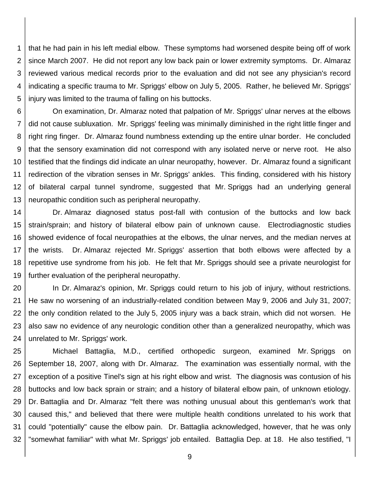1 2 3 4 5 that he had pain in his left medial elbow. These symptoms had worsened despite being off of work since March 2007. He did not report any low back pain or lower extremity symptoms. Dr. Almaraz reviewed various medical records prior to the evaluation and did not see any physician's record indicating a specific trauma to Mr. Spriggs' elbow on July 5, 2005. Rather, he believed Mr. Spriggs' injury was limited to the trauma of falling on his buttocks.

6 7 8 9 10 11 12 13 On examination, Dr. Almaraz noted that palpation of Mr. Spriggs' ulnar nerves at the elbows did not cause subluxation. Mr. Spriggs' feeling was minimally diminished in the right little finger and right ring finger. Dr. Almaraz found numbness extending up the entire ulnar border. He concluded that the sensory examination did not correspond with any isolated nerve or nerve root. He also testified that the findings did indicate an ulnar neuropathy, however. Dr. Almaraz found a significant redirection of the vibration senses in Mr. Spriggs' ankles. This finding, considered with his history of bilateral carpal tunnel syndrome, suggested that Mr. Spriggs had an underlying general neuropathic condition such as peripheral neuropathy.

14 15 16 17 18 19 Dr. Almaraz diagnosed status post-fall with contusion of the buttocks and low back strain/sprain; and history of bilateral elbow pain of unknown cause. Electrodiagnostic studies showed evidence of focal neuropathies at the elbows, the ulnar nerves, and the median nerves at the wrists. Dr. Almaraz rejected Mr. Spriggs' assertion that both elbows were affected by a repetitive use syndrome from his job. He felt that Mr. Spriggs should see a private neurologist for further evaluation of the peripheral neuropathy.

20 21 22 23 24 In Dr. Almaraz's opinion, Mr. Spriggs could return to his job of injury, without restrictions. He saw no worsening of an industrially-related condition between May 9, 2006 and July 31, 2007; the only condition related to the July 5, 2005 injury was a back strain, which did not worsen. He also saw no evidence of any neurologic condition other than a generalized neuropathy, which was unrelated to Mr. Spriggs' work.

25 26 27 28 29 30 31 32 Michael Battaglia, M.D., certified orthopedic surgeon, examined Mr. Spriggs on September 18, 2007, along with Dr. Almaraz. The examination was essentially normal, with the exception of a positive Tinel's sign at his right elbow and wrist. The diagnosis was contusion of his buttocks and low back sprain or strain; and a history of bilateral elbow pain, of unknown etiology. Dr. Battaglia and Dr. Almaraz "felt there was nothing unusual about this gentleman's work that caused this," and believed that there were multiple health conditions unrelated to his work that could "potentially" cause the elbow pain. Dr. Battaglia acknowledged, however, that he was only "somewhat familiar" with what Mr. Spriggs' job entailed. Battaglia Dep. at 18. He also testified, "I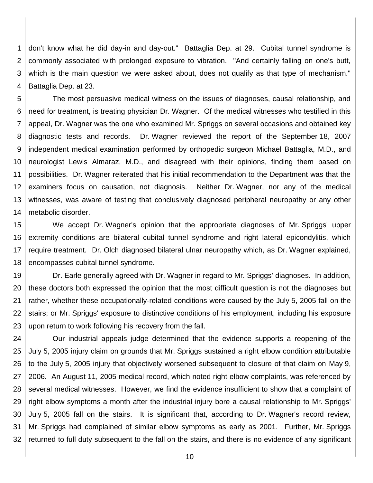1 2 3 4 don't know what he did day-in and day-out." Battaglia Dep. at 29. Cubital tunnel syndrome is commonly associated with prolonged exposure to vibration. "And certainly falling on one's butt, which is the main question we were asked about, does not qualify as that type of mechanism." Battaglia Dep. at 23.

5 6 7 8 9 10 11 12 13 14 The most persuasive medical witness on the issues of diagnoses, causal relationship, and need for treatment, is treating physician Dr. Wagner. Of the medical witnesses who testified in this appeal, Dr. Wagner was the one who examined Mr. Spriggs on several occasions and obtained key diagnostic tests and records. Dr. Wagner reviewed the report of the September 18, 2007 independent medical examination performed by orthopedic surgeon Michael Battaglia, M.D., and neurologist Lewis Almaraz, M.D., and disagreed with their opinions, finding them based on possibilities. Dr. Wagner reiterated that his initial recommendation to the Department was that the examiners focus on causation, not diagnosis. Neither Dr. Wagner, nor any of the medical witnesses, was aware of testing that conclusively diagnosed peripheral neuropathy or any other metabolic disorder.

15 16 17 18 We accept Dr. Wagner's opinion that the appropriate diagnoses of Mr. Spriggs' upper extremity conditions are bilateral cubital tunnel syndrome and right lateral epicondylitis, which require treatment. Dr. Olch diagnosed bilateral ulnar neuropathy which, as Dr. Wagner explained, encompasses cubital tunnel syndrome.

19 20 21 22 23 Dr. Earle generally agreed with Dr. Wagner in regard to Mr. Spriggs' diagnoses. In addition, these doctors both expressed the opinion that the most difficult question is not the diagnoses but rather, whether these occupationally-related conditions were caused by the July 5, 2005 fall on the stairs; or Mr. Spriggs' exposure to distinctive conditions of his employment, including his exposure upon return to work following his recovery from the fall.

24 25 26 27 28 29 30 31 32 Our industrial appeals judge determined that the evidence supports a reopening of the July 5, 2005 injury claim on grounds that Mr. Spriggs sustained a right elbow condition attributable to the July 5, 2005 injury that objectively worsened subsequent to closure of that claim on May 9, 2006. An August 11, 2005 medical record, which noted right elbow complaints, was referenced by several medical witnesses. However, we find the evidence insufficient to show that a complaint of right elbow symptoms a month after the industrial injury bore a causal relationship to Mr. Spriggs' July 5, 2005 fall on the stairs. It is significant that, according to Dr. Wagner's record review, Mr. Spriggs had complained of similar elbow symptoms as early as 2001. Further, Mr. Spriggs returned to full duty subsequent to the fall on the stairs, and there is no evidence of any significant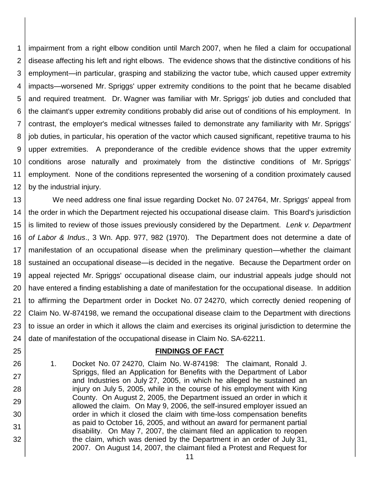1 2 3 4 5 6 7 8 9 10 11 12 impairment from a right elbow condition until March 2007, when he filed a claim for occupational disease affecting his left and right elbows. The evidence shows that the distinctive conditions of his employment—in particular, grasping and stabilizing the vactor tube, which caused upper extremity impacts—worsened Mr. Spriggs' upper extremity conditions to the point that he became disabled and required treatment. Dr. Wagner was familiar with Mr. Spriggs' job duties and concluded that the claimant's upper extremity conditions probably did arise out of conditions of his employment. In contrast, the employer's medical witnesses failed to demonstrate any familiarity with Mr. Spriggs' job duties, in particular, his operation of the vactor which caused significant, repetitive trauma to his upper extremities. A preponderance of the credible evidence shows that the upper extremity conditions arose naturally and proximately from the distinctive conditions of Mr. Spriggs' employment. None of the conditions represented the worsening of a condition proximately caused by the industrial injury.

13 14 15 16 17 18 19 20 21 22 23 24 We need address one final issue regarding Docket No. 07 24764, Mr. Spriggs' appeal from the order in which the Department rejected his occupational disease claim. This Board's jurisdiction is limited to review of those issues previously considered by the Department. *Lenk v. Department of Labor & Indus*., 3 Wn. App. 977, 982 (1970). The Department does not determine a date of manifestation of an occupational disease when the preliminary question—whether the claimant sustained an occupational disease—is decided in the negative. Because the Department order on appeal rejected Mr. Spriggs' occupational disease claim, our industrial appeals judge should not have entered a finding establishing a date of manifestation for the occupational disease. In addition to affirming the Department order in Docket No. 07 24270, which correctly denied reopening of Claim No. W-874198, we remand the occupational disease claim to the Department with directions to issue an order in which it allows the claim and exercises its original jurisdiction to determine the date of manifestation of the occupational disease in Claim No. SA-62211.

### **FINDINGS OF FACT**

1. Docket No. 07 24270, Claim No. W-874198: The claimant, Ronald J. Spriggs, filed an Application for Benefits with the Department of Labor and Industries on July 27, 2005, in which he alleged he sustained an injury on July 5, 2005, while in the course of his employment with King County. On August 2, 2005, the Department issued an order in which it allowed the claim. On May 9, 2006, the self-insured employer issued an order in which it closed the claim with time-loss compensation benefits as paid to October 16, 2005, and without an award for permanent partial disability. On May 7, 2007, the claimant filed an application to reopen the claim, which was denied by the Department in an order of July 31, 2007. On August 14, 2007, the claimant filed a Protest and Request for

25

26

27

28

29

30

31

32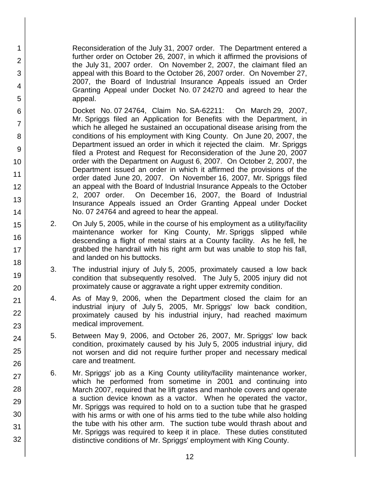Reconsideration of the July 31, 2007 order. The Department entered a further order on October 26, 2007, in which it affirmed the provisions of the July 31, 2007 order. On November 2, 2007, the claimant filed an appeal with this Board to the October 26, 2007 order. On November 27, 2007, the Board of Industrial Insurance Appeals issued an Order Granting Appeal under Docket No. 07 24270 and agreed to hear the appeal.

1

2

3

4

5

6

7

8

9

10

11

12

13

14

15

16

17

18

19

20

21

22

23

24

25

26

27

28

29

30

31

32

Docket No. 07 24764, Claim No. SA-62211: On March 29, 2007, Mr. Spriggs filed an Application for Benefits with the Department, in which he alleged he sustained an occupational disease arising from the conditions of his employment with King County. On June 20, 2007, the Department issued an order in which it rejected the claim. Mr. Spriggs filed a Protest and Request for Reconsideration of the June 20, 2007 order with the Department on August 6, 2007. On October 2, 2007, the Department issued an order in which it affirmed the provisions of the order dated June 20, 2007. On November 16, 2007, Mr. Spriggs filed an appeal with the Board of Industrial Insurance Appeals to the October 2, 2007 order. On December 16, 2007, the Board of Industrial Insurance Appeals issued an Order Granting Appeal under Docket No. 07 24764 and agreed to hear the appeal.

- 2. On July 5, 2005, while in the course of his employment as a utility/facility maintenance worker for King County, Mr. Spriggs slipped while descending a flight of metal stairs at a County facility. As he fell, he grabbed the handrail with his right arm but was unable to stop his fall, and landed on his buttocks.
- 3. The industrial injury of July 5, 2005, proximately caused a low back condition that subsequently resolved. The July 5, 2005 injury did not proximately cause or aggravate a right upper extremity condition.
- 4. As of May 9, 2006, when the Department closed the claim for an industrial injury of July 5, 2005, Mr. Spriggs' low back condition, proximately caused by his industrial injury, had reached maximum medical improvement.
- 5. Between May 9, 2006, and October 26, 2007, Mr. Spriggs' low back condition, proximately caused by his July 5, 2005 industrial injury, did not worsen and did not require further proper and necessary medical care and treatment.
- 6. Mr. Spriggs' job as a King County utility/facility maintenance worker, which he performed from sometime in 2001 and continuing into March 2007, required that he lift grates and manhole covers and operate a suction device known as a vactor. When he operated the vactor, Mr. Spriggs was required to hold on to a suction tube that he grasped with his arms or with one of his arms tied to the tube while also holding the tube with his other arm. The suction tube would thrash about and Mr. Spriggs was required to keep it in place. These duties constituted distinctive conditions of Mr. Spriggs' employment with King County.